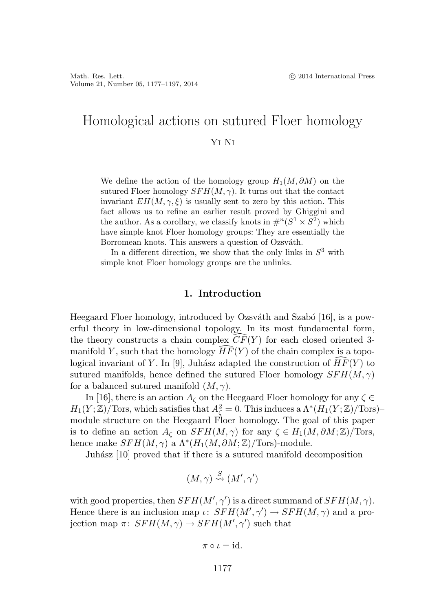# Homological actions on sutured Floer homology Yi Ni

We define the action of the homology group  $H_1(M, \partial M)$  on the sutured Floer homology  $SFH(M, \gamma)$ . It turns out that the contact invariant  $EH(M, \gamma, \xi)$  is usually sent to zero by this action. This fact allows us to refine an earlier result proved by Ghiggini and the author. As a corollary, we classify knots in  $\#^n(S^1 \times S^2)$  which have simple knot Floer homology groups: They are essentially the Borromean knots. This answers a question of Ozsváth.

In a different direction, we show that the only links in  $S<sup>3</sup>$  with simple knot Floer homology groups are the unlinks.

### **1. Introduction**

Heegaard Floer homology, introduced by Ozsváth and Szabó  $[16]$ , is a powerful theory in low-dimensional topology. In its most fundamental form, the theory constructs a chain complex  $CF(Y)$  for each closed oriented 3manifold Y, such that the homology  $HF(Y)$  of the chain complex is a topological invariant of Y. In [9], Juhász adapted the construction of  $HF(Y)$  to sutured manifolds, hence defined the sutured Floer homology  $SFH(M, \gamma)$ for a balanced sutured manifold  $(M, \gamma)$ .

In [16], there is an action  $A_{\zeta}$  on the Heegaard Floer homology for any  $\zeta \in$  $H_1(Y;\mathbb{Z})/\text{Tors},$  which satisfies that  $A_\zeta^2 = 0$ . This induces a  $\Lambda^*(H_1(Y;\mathbb{Z})/\text{Tors})$ module structure on the Heegaard Floer homology. The goal of this paper is to define an action  $A_{\zeta}$  on  $SFH(M,\gamma)$  for any  $\zeta \in H_1(M,\partial M;\mathbb{Z})$ /Tors, hence make  $SFH(M, \gamma)$  a  $\Lambda^*(H_1(M, \partial M; \mathbb{Z})/\text{Tors})$ -module.

Juhász [10] proved that if there is a sutured manifold decomposition

$$
(M,\gamma) \stackrel{S}{\leadsto} (M',\gamma')
$$

with good properties, then  $SFH(M', \gamma')$  is a direct summand of  $SFH(M, \gamma)$ . Hence there is an inclusion map  $\iota: SFH(M', \gamma') \to SFH(M, \gamma)$  and a projection map  $\pi\colon SFH(M,\gamma) \to SFH(M',\gamma')$  such that

$$
\pi\circ\iota=\mathrm{id}.
$$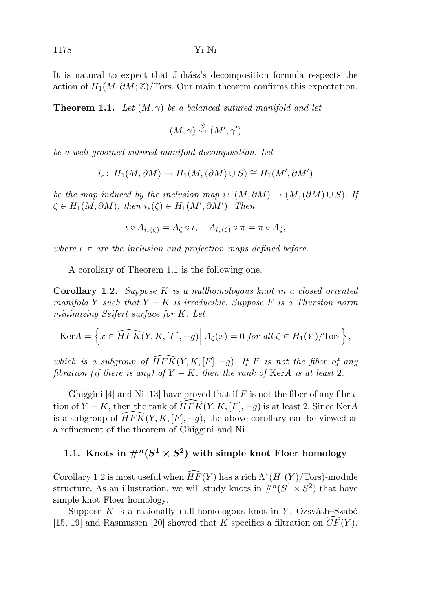It is natural to expect that Juhász's decomposition formula respects the action of  $H_1(M, \partial M; \mathbb{Z})$ /Tors. Our main theorem confirms this expectation.

**Theorem 1.1.** Let  $(M, \gamma)$  be a balanced sutured manifold and let

$$
(M,\gamma) \stackrel{S}{\leadsto} (M',\gamma')
$$

be a well-groomed sutured manifold decomposition. Let

$$
i_*\colon H_1(M, \partial M) \to H_1(M, (\partial M) \cup S) \cong H_1(M', \partial M')
$$

be the map induced by the inclusion map i:  $(M, \partial M) \rightarrow (M, (\partial M) \cup S)$ . If  $\zeta \in H_1(M, \partial M)$ , then  $i_*(\zeta) \in H_1(M', \partial M')$ . Then

$$
\iota \circ A_{i_*(\zeta)} = A_{\zeta} \circ \iota, \quad A_{i_*(\zeta)} \circ \pi = \pi \circ A_{\zeta},
$$

where  $\iota, \pi$  are the inclusion and projection maps defined before.

A corollary of Theorem 1.1 is the following one.

**Corollary 1.2.** Suppose K is a nullhomologous knot in a closed oriented manifold Y such that  $Y - K$  is irreducible. Suppose F is a Thurston norm minimizing Seifert surface for K. Let

$$
\text{Ker} A = \left\{ x \in \widehat{HFK}(Y, K, [F], -g) \middle| A_{\zeta}(x) = 0 \text{ for all } \zeta \in H_1(Y) / \text{Tors} \right\},\
$$

which is a subgroup of  $\widehat{HFK}(Y,K,[F],-g)$ . If F is not the fiber of any fibration (if there is any) of  $Y - K$ , then the rank of KerA is at least 2.

Ghiggini [4] and Ni [13] have proved that if F is not the fiber of any fibration of  $Y - K$ , then the rank of  $\widehat{HFK}(Y, K, [F], -g)$  is at least 2. Since KerA is a subgroup of  $\widehat{HFK}(Y,K,[F], -g)$ , the above corollary can be viewed as a refinement of the theorem of Ghiggini and Ni.

# **1.1.** Knots in  $\#^n(S^1 \times S^2)$  with simple knot Floer homology

Corollary 1.2 is most useful when  $\widehat{HF}(Y)$  has a rich  $\Lambda^*(H_1(Y)/Tors)$ -module structure. As an illustration, we will study knots in  $\#^n(S^1 \times S^2)$  that have simple knot Floer homology.

Suppose K is a rationally null-homologous knot in Y, Ozsváth–Szabó [15, 19] and Rasmussen [20] showed that K specifies a filtration on  $CF(Y)$ .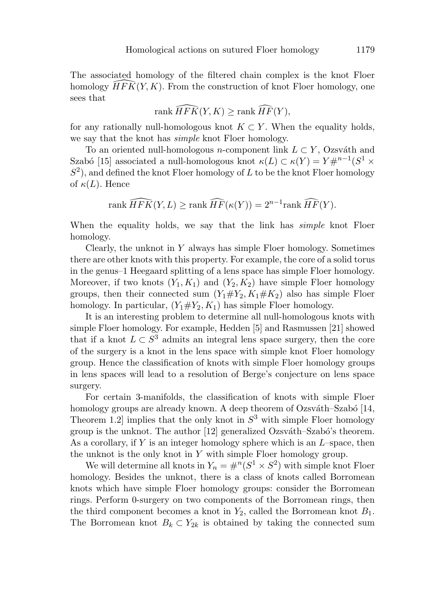The associated homology of the filtered chain complex is the knot Floer homology  $\widehat{HFK}(Y,K)$ . From the construction of knot Floer homology, one sees that

$$
\operatorname{rank}\widehat{HFK}(Y,K)\geq\operatorname{rank}\widehat{HF}(Y),
$$

for any rationally null-homologous knot  $K \subset Y$ . When the equality holds, we say that the knot has *simple* knot Floer homology.

To an oriented null-homologous *n*-component link  $L \subset Y$ , Ozsváth and Szabó [15] associated a null-homologous knot  $\kappa(L) \subset \kappa(Y) = Y \#^{n-1}(S^1 \times$  $S<sup>2</sup>$ , and defined the knot Floer homology of L to be the knot Floer homology of  $\kappa(L)$ . Hence

rank 
$$
\widehat{HFK}(Y, L) \geq \text{rank } \widehat{HF}(\kappa(Y)) = 2^{n-1} \text{rank } \widehat{HF}(Y).
$$

When the equality holds, we say that the link has *simple* knot Floer homology.

Clearly, the unknot in Y always has simple Floer homology. Sometimes there are other knots with this property. For example, the core of a solid torus in the genus–1 Heegaard splitting of a lens space has simple Floer homology. Moreover, if two knots  $(Y_1, K_1)$  and  $(Y_2, K_2)$  have simple Floer homology groups, then their connected sum  $(Y_1 \# Y_2, K_1 \# K_2)$  also has simple Floer homology. In particular,  $(Y_1 \# Y_2, K_1)$  has simple Floer homology.

It is an interesting problem to determine all null-homologous knots with simple Floer homology. For example, Hedden [5] and Rasmussen [21] showed that if a knot  $L \subset S^3$  admits an integral lens space surgery, then the core of the surgery is a knot in the lens space with simple knot Floer homology group. Hence the classification of knots with simple Floer homology groups in lens spaces will lead to a resolution of Berge's conjecture on lens space surgery.

For certain 3-manifolds, the classification of knots with simple Floer homology groups are already known. A deep theorem of Ozsváth–Szabó [14, Theorem 1.2 implies that the only knot in  $S^3$  with simple Floer homology group is the unknot. The author  $[12]$  generalized Ozsváth–Szabó's theorem. As a corollary, if Y is an integer homology sphere which is an  $L$ –space, then the unknot is the only knot in  $Y$  with simple Floer homology group.

We will determine all knots in  $Y_n = #^n(S^1 \times S^2)$  with simple knot Floer homology. Besides the unknot, there is a class of knots called Borromean knots which have simple Floer homology groups: consider the Borromean rings. Perform 0-surgery on two components of the Borromean rings, then the third component becomes a knot in  $Y_2$ , called the Borromean knot  $B_1$ . The Borromean knot  $B_k \subset Y_{2k}$  is obtained by taking the connected sum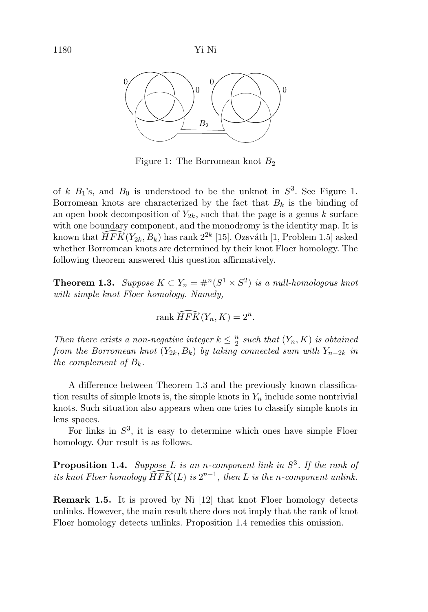

Figure 1: The Borromean knot  $B_2$ 

of k  $B_1$ 's, and  $B_0$  is understood to be the unknot in  $S^3$ . See Figure 1. Borromean knots are characterized by the fact that  $B_k$  is the binding of an open book decomposition of  $Y_{2k}$ , such that the page is a genus k surface with one boundary component, and the monodromy is the identity map. It is known that  $\widehat{HFK}(Y_{2k}, B_k)$  has rank  $2^{2k}$  [15]. Ozsváth [1, Problem 1.5] asked whether Borromean knots are determined by their knot Floer homology. The following theorem answered this question affirmatively.

**Theorem 1.3.** Suppose  $K \subset Y_n = \#^n(S^1 \times S^2)$  is a null-homologous knot with simple knot Floer homology. Namely,

$$
\operatorname{rank}\widehat{HFK}(Y_n,K)=2^n.
$$

Then there exists a non-negative integer  $k \leq \frac{n}{2}$  such that  $(Y_n, K)$  is obtained from the Borromean knot  $(Y_{2k}, B_k)$  by taking connected sum with  $Y_{n-2k}$  in the complement of  $B_k$ .

A difference between Theorem 1.3 and the previously known classification results of simple knots is, the simple knots in  $Y_n$  include some nontrivial knots. Such situation also appears when one tries to classify simple knots in lens spaces.

For links in  $S^3$ , it is easy to determine which ones have simple Floer homology. Our result is as follows.

**Proposition 1.4.** Suppose L is an n-component link in  $S^3$ . If the rank of its knot Floer homology  $\widehat{HFK}(L)$  is  $2^{n-1}$ , then L is the n-component unlink.

**Remark 1.5.** It is proved by Ni [12] that knot Floer homology detects unlinks. However, the main result there does not imply that the rank of knot Floer homology detects unlinks. Proposition 1.4 remedies this omission.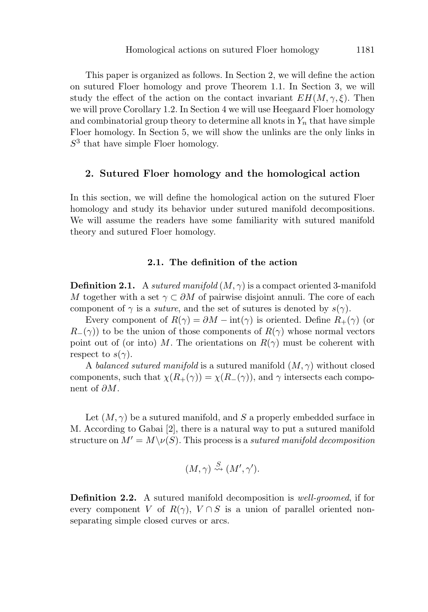This paper is organized as follows. In Section 2, we will define the action on sutured Floer homology and prove Theorem 1.1. In Section 3, we will study the effect of the action on the contact invariant  $EH(M, \gamma, \xi)$ . Then we will prove Corollary 1.2. In Section 4 we will use Heegaard Floer homology and combinatorial group theory to determine all knots in  $Y_n$  that have simple Floer homology. In Section 5, we will show the unlinks are the only links in  $S<sup>3</sup>$  that have simple Floer homology.

### **2. Sutured Floer homology and the homological action**

In this section, we will define the homological action on the sutured Floer homology and study its behavior under sutured manifold decompositions. We will assume the readers have some familiarity with sutured manifold theory and sutured Floer homology.

## **2.1. The definition of the action**

**Definition 2.1.** A sutured manifold  $(M, \gamma)$  is a compact oriented 3-manifold M together with a set  $\gamma \subset \partial M$  of pairwise disjoint annuli. The core of each component of  $\gamma$  is a *suture*, and the set of sutures is denoted by  $s(\gamma)$ .

Every component of  $R(\gamma) = \partial M - \text{int}(\gamma)$  is oriented. Define  $R_+(\gamma)$  (or  $R_-(\gamma)$  to be the union of those components of  $R(\gamma)$  whose normal vectors point out of (or into) M. The orientations on  $R(\gamma)$  must be coherent with respect to  $s(\gamma)$ .

A balanced sutured manifold is a sutured manifold  $(M, \gamma)$  without closed components, such that  $\chi(R_+(\gamma)) = \chi(R_-(\gamma))$ , and  $\gamma$  intersects each component of  $\partial M$ .

Let  $(M, \gamma)$  be a sutured manifold, and S a properly embedded surface in M. According to Gabai [2], there is a natural way to put a sutured manifold structure on  $M' = M \setminus \nu(S)$ . This process is a *sutured manifold decomposition* 

$$
(M,\gamma) \stackrel{S}{\rightsquigarrow} (M',\gamma').
$$

**Definition 2.2.** A sutured manifold decomposition is well-groomed, if for every component V of  $R(\gamma)$ ,  $V \cap S$  is a union of parallel oriented nonseparating simple closed curves or arcs.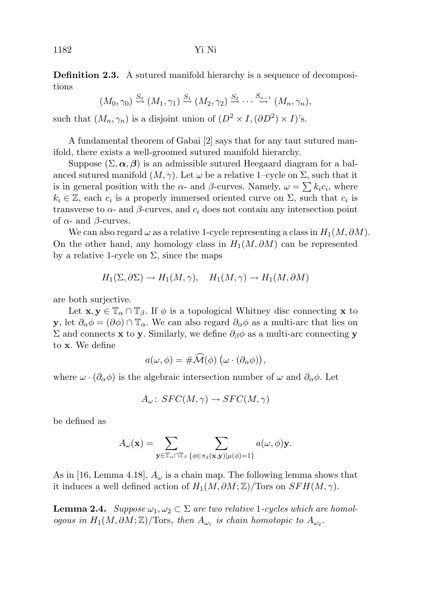**Definition 2.3.** A sutured manifold hierarchy is a sequence of decompositions

$$
(M_0, \gamma_0) \stackrel{S_0}{\rightsquigarrow} (M_1, \gamma_1) \stackrel{S_1}{\rightsquigarrow} (M_2, \gamma_2) \stackrel{S_2}{\rightsquigarrow} \cdots \stackrel{S_{n-1}}{\rightsquigarrow} (M_n, \gamma_n),
$$

such that  $(M_n, \gamma_n)$  is a disjoint union of  $(D^2 \times I, (\partial D^2) \times I)$ 's.

A fundamental theorem of Gabai [2] says that for any taut sutured manifold, there exists a well-groomed sutured manifold hierarchy.

Suppose  $(\Sigma, \alpha, \beta)$  is an admissible sutured Heegaard diagram for a balanced sutured manifold  $(M, \gamma)$ . Let  $\omega$  be a relative 1–cycle on  $\Sigma$ , such that it is in general position with the  $\alpha$ - and  $\beta$ -curves. Namely,  $\omega = \sum k_i c_i$ , where  $k_i \in \mathbb{Z}$ , each  $c_i$  is a properly immersed oriented curve on  $\Sigma$ , such that  $c_i$  is transverse to  $\alpha$ - and  $\beta$ -curves, and  $c_i$  does not contain any intersection point of  $\alpha$ - and  $\beta$ -curves.

We can also regard  $\omega$  as a relative 1-cycle representing a class in  $H_1(M, \partial M)$ . On the other hand, any homology class in  $H_1(M, \partial M)$  can be represented by a relative 1-cycle on  $\Sigma$ , since the maps

$$
H_1(\Sigma, \partial \Sigma) \to H_1(M, \gamma), \quad H_1(M, \gamma) \to H_1(M, \partial M)
$$

are both surjective.

Let  $\mathbf{x}, \mathbf{y} \in \mathbb{T}_\alpha \cap \mathbb{T}_\beta$ . If  $\phi$  is a topological Whitney disc connecting **x** to **y**, let  $\partial_{\alpha}\phi = (\partial \phi) \cap \mathbb{T}_{\alpha}$ . We can also regard  $\partial_{\alpha}\phi$  as a multi-arc that lies on Σ and connects **x** to **y**. Similarly, we define ∂βφ as a multi-arc connecting **y** to **x**. We define

$$
a(\omega,\phi)=\#\widehat{\mathcal{M}}(\phi)\;(\omega\cdot(\partial_{\alpha}\phi)),
$$

where  $\omega \cdot (\partial_{\alpha} \phi)$  is the algebraic intersection number of  $\omega$  and  $\partial_{\alpha} \phi$ . Let

$$
A_{\omega}\colon\thinspace SFC(M,\gamma)\to SFC(M,\gamma)
$$

be defined as

$$
A_{\omega}(\mathbf{x}) = \sum_{\mathbf{y} \in \mathbb{T}_{\alpha} \cap \mathbb{T}_{\beta}} \sum_{\{\phi \in \pi_2(\mathbf{x}, \mathbf{y}) | \mu(\phi) = 1\}} a(\omega, \phi) \mathbf{y}.
$$

As in [16, Lemma 4.18],  $A_{\omega}$  is a chain map. The following lemma shows that it induces a well defined action of  $H_1(M, \partial M; \mathbb{Z})/\text{Tors}$  on  $SFH(M, \gamma)$ .

**Lemma 2.4.** Suppose  $\omega_1, \omega_2 \subset \Sigma$  are two relative 1-cycles which are homologous in  $H_1(M, \partial M; \mathbb{Z})/\text{Tors},$  then  $A_{\omega_1}$  is chain homotopic to  $A_{\omega_2}$ .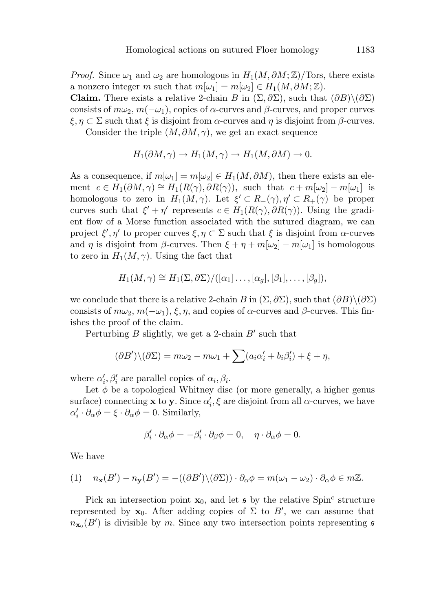*Proof.* Since  $\omega_1$  and  $\omega_2$  are homologous in  $H_1(M, \partial M; \mathbb{Z})$ /Tors, there exists a nonzero integer m such that  $m[\omega_1] = m[\omega_2] \in H_1(M, \partial M; \mathbb{Z}).$ **Claim.** There exists a relative 2-chain B in  $(\Sigma, \partial \Sigma)$ , such that  $(\partial B) \setminus (\partial \Sigma)$ consists of  $m\omega_2$ ,  $m(-\omega_1)$ , copies of  $\alpha$ -curves and  $\beta$ -curves, and proper curves  $\xi, \eta \subset \Sigma$  such that  $\xi$  is disjoint from  $\alpha$ -curves and  $\eta$  is disjoint from  $\beta$ -curves.

Consider the triple  $(M, \partial M, \gamma)$ , we get an exact sequence

$$
H_1(\partial M, \gamma) \to H_1(M, \gamma) \to H_1(M, \partial M) \to 0.
$$

As a consequence, if  $m[\omega_1] = m[\omega_2] \in H_1(M, \partial M)$ , then there exists an element  $c \in H_1(\partial M, \gamma) \cong H_1(R(\gamma), \partial R(\gamma))$ , such that  $c + m[\omega_2] - m[\omega_1]$  is homologous to zero in  $H_1(M, \gamma)$ . Let  $\xi' \subset R_-(\gamma)$ ,  $\eta' \subset R_+(\gamma)$  be proper curves such that  $\xi' + \eta'$  represents  $c \in H_1(R(\gamma), \partial R(\gamma))$ . Using the gradient flow of a Morse function associated with the sutured diagram, we can project  $\xi', \eta'$  to proper curves  $\xi, \eta \subset \Sigma$  such that  $\xi$  is disjoint from  $\alpha$ -curves and  $\eta$  is disjoint from β-curves. Then  $\xi + \eta + m[\omega_2] - m[\omega_1]$  is homologous to zero in  $H_1(M, \gamma)$ . Using the fact that

$$
H_1(M,\gamma) \cong H_1(\Sigma,\partial\Sigma)/([\alpha_1]\ldots,[\alpha_g],[\beta_1],\ldots,[\beta_g]),
$$

we conclude that there is a relative 2-chain B in  $(\Sigma, \partial \Sigma)$ , such that  $(\partial B) \setminus (\partial \Sigma)$ consists of  $m\omega_2$ ,  $m(-\omega_1)$ ,  $\xi, \eta$ , and copies of  $\alpha$ -curves and  $\beta$ -curves. This finishes the proof of the claim.

Perturbing  $B$  slightly, we get a 2-chain  $B'$  such that

$$
(\partial B')\backslash(\partial \Sigma) = m\omega_2 - m\omega_1 + \sum (a_i\alpha'_i + b_i\beta'_i) + \xi + \eta,
$$

where  $\alpha'_i, \beta'_i$  are parallel copies of  $\alpha_i, \beta_i$ .

Let  $\phi$  be a topological Whitney disc (or more generally, a higher genus surface) connecting **x** to **y**. Since  $\alpha'_i$ ,  $\xi$  are disjoint from all  $\alpha$ -curves, we have  $\alpha_i' \cdot \partial_\alpha \phi = \xi \cdot \partial_\alpha \phi = 0$ . Similarly,

$$
\beta_i' \cdot \partial_{\alpha} \phi = -\beta_i' \cdot \partial_{\beta} \phi = 0, \quad \eta \cdot \partial_{\alpha} \phi = 0.
$$

We have

(1) 
$$
n_{\mathbf{x}}(B') - n_{\mathbf{y}}(B') = -((\partial B') \setminus (\partial \Sigma)) \cdot \partial_{\alpha} \phi = m(\omega_1 - \omega_2) \cdot \partial_{\alpha} \phi \in m\mathbb{Z}.
$$

Pick an intersection point  $\mathbf{x}_0$ , and let  $\mathfrak{s}$  by the relative Spin<sup>c</sup> structure represented by  $x_0$ . After adding copies of  $\Sigma$  to  $B'$ , we can assume that  $n_{\mathbf{x}_{0}}(B')$  is divisible by m. Since any two intersection points representing  $\mathfrak{s}$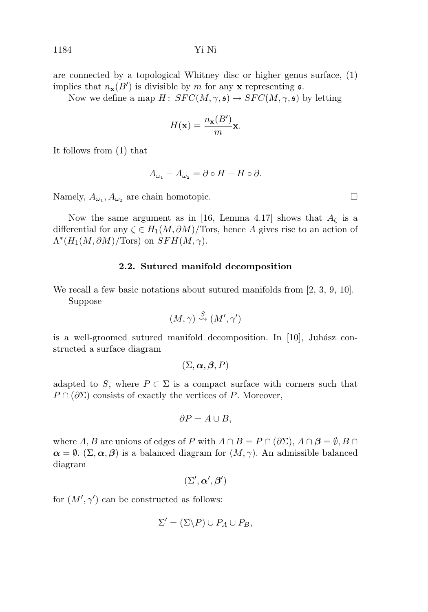are connected by a topological Whitney disc or higher genus surface, (1) implies that  $n_{\mathbf{x}}(B')$  is divisible by m for any **x** representing **s**.

Now we define a map  $H: SFC(M,\gamma,\mathfrak{s}) \to SFC(M,\gamma,\mathfrak{s})$  by letting

$$
H(\mathbf{x}) = \frac{n_{\mathbf{x}}(B')}{m} \mathbf{x}.
$$

It follows from (1) that

$$
A_{\omega_1} - A_{\omega_2} = \partial \circ H - H \circ \partial.
$$

Namely,  $A_{\omega_1}, A_{\omega_2}$  are chain homotopic.

Now the same argument as in [16, Lemma 4.17] shows that  $A_{\zeta}$  is a differential for any  $\zeta \in H_1(M, \partial M)/$  Tors, hence A gives rise to an action of  $\Lambda^*(H_1(M, \partial M)/\text{Tors})$  on  $SFH(M, \gamma)$ .

#### **2.2. Sutured manifold decomposition**

We recall a few basic notations about sutured manifolds from [2, 3, 9, 10]. Suppose

$$
(M,\gamma) \stackrel{S}{\leadsto} (M',\gamma')
$$

is a well-groomed sutured manifold decomposition. In  $[10]$ , Juhász constructed a surface diagram

$$
(\Sigma,\boldsymbol{\alpha},\boldsymbol{\beta},P)
$$

adapted to S, where  $P \subset \Sigma$  is a compact surface with corners such that  $P \cap (\partial \Sigma)$  consists of exactly the vertices of P. Moreover,

$$
\partial P = A \cup B,
$$

where A, B are unions of edges of P with  $A \cap B = P \cap (\partial \Sigma)$ ,  $A \cap \beta = \emptyset$ ,  $B \cap$  $\alpha = \emptyset$ . (Σ,  $\alpha$ ,  $\beta$ ) is a balanced diagram for  $(M, \gamma)$ . An admissible balanced diagram

$$
(\Sigma',\boldsymbol{\alpha}',\boldsymbol{\beta}')
$$

for  $(M', \gamma')$  can be constructed as follows:

$$
\Sigma' = (\Sigma \backslash P) \cup P_A \cup P_B,
$$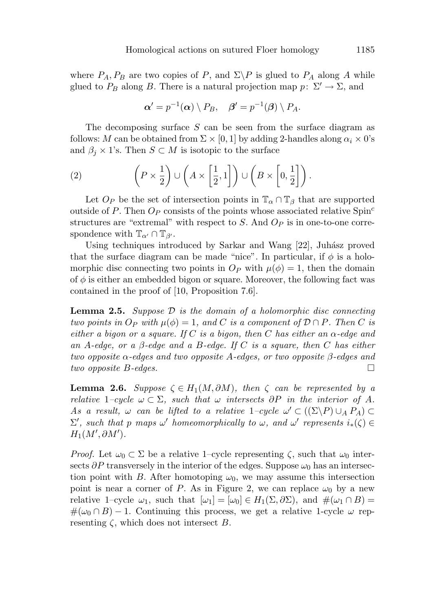where  $P_A, P_B$  are two copies of P, and  $\Sigma \backslash P$  is glued to  $P_A$  along A while glued to  $P_B$  along B. There is a natural projection map  $p: \Sigma' \to \Sigma$ , and

$$
\boldsymbol{\alpha}' = p^{-1}(\boldsymbol{\alpha}) \setminus P_B, \quad \boldsymbol{\beta}' = p^{-1}(\boldsymbol{\beta}) \setminus P_A.
$$

The decomposing surface  $S$  can be seen from the surface diagram as follows: M can be obtained from  $\Sigma \times [0, 1]$  by adding 2-handles along  $\alpha_i \times 0$ 's and  $\beta_j \times 1$ 's. Then  $S \subset M$  is isotopic to the surface

(2) 
$$
\left(P \times \frac{1}{2}\right) \cup \left(A \times \left[\frac{1}{2}, 1\right]\right) \cup \left(B \times \left[0, \frac{1}{2}\right]\right).
$$

Let  $O_P$  be the set of intersection points in  $\mathbb{T}_{\alpha} \cap \mathbb{T}_{\beta}$  that are supported outside of P. Then  $O_P$  consists of the points whose associated relative Spin<sup>c</sup> structures are "extremal" with respect to S. And  $O_P$  is in one-to-one correspondence with  $\mathbb{T}_{\alpha'} \cap \mathbb{T}_{\beta'}$ .

Using techniques introduced by Sarkar and Wang [22], Juhász proved that the surface diagram can be made "nice". In particular, if  $\phi$  is a holomorphic disc connecting two points in  $O_P$  with  $\mu(\phi) = 1$ , then the domain of  $\phi$  is either an embedded bigon or square. Moreover, the following fact was contained in the proof of [10, Proposition 7.6].

**Lemma 2.5.** Suppose D is the domain of a holomorphic disc connecting two points in  $O_P$  with  $\mu(\phi)=1$ , and C is a component of  $\mathcal{D} \cap P$ . Then C is either a bigon or a square. If C is a bigon, then C has either an  $\alpha$ -edge and an A-edge, or a  $\beta$ -edge and a B-edge. If C is a square, then C has either two opposite  $\alpha$ -edges and two opposite A-edges, or two opposite  $\beta$ -edges and two opposite B-edges.

**Lemma 2.6.** Suppose  $\zeta \in H_1(M, \partial M)$ , then  $\zeta$  can be represented by a relative 1–cycle  $\omega \subset \Sigma$ , such that  $\omega$  intersects  $\partial P$  in the interior of A. As a result,  $\omega$  can be lifted to a relative 1–cycle  $\omega' \subset ((\Sigma \backslash P) \cup_A P_A) \subset$  $\Sigma'$ , such that p maps  $\omega'$  homeomorphically to  $\omega$ , and  $\omega'$  represents  $i_*(\zeta) \in$  $H_1(M',\partial M')$ .

*Proof.* Let  $\omega_0 \subset \Sigma$  be a relative 1–cycle representing  $\zeta$ , such that  $\omega_0$  intersects  $\partial P$  transversely in the interior of the edges. Suppose  $\omega_0$  has an intersection point with B. After homotoping  $\omega_0$ , we may assume this intersection point is near a corner of P. As in Figure 2, we can replace  $\omega_0$  by a new relative 1–cycle  $\omega_1$ , such that  $[\omega_1] = [\omega_0] \in H_1(\Sigma, \partial \Sigma)$ , and  $\#(\omega_1 \cap B) =$  $\#(\omega_0 \cap B) - 1$ . Continuing this process, we get a relative 1-cycle  $\omega$  representing  $\zeta$ , which does not intersect B.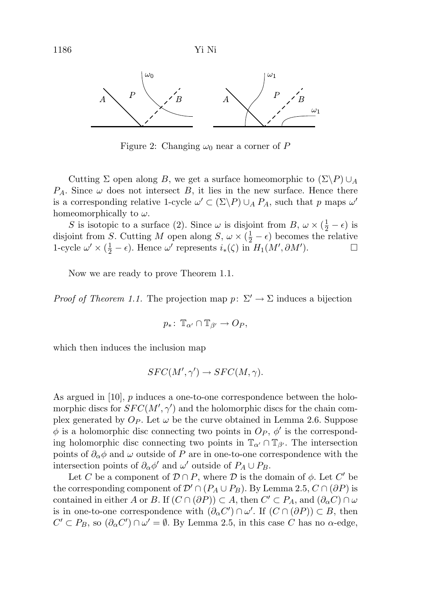

Figure 2: Changing  $\omega_0$  near a corner of P

Cutting  $\Sigma$  open along B, we get a surface homeomorphic to  $(\Sigma \backslash P) \cup_A$  $P_A$ . Since  $\omega$  does not intersect B, it lies in the new surface. Hence there is a corresponding relative 1-cycle  $\omega' \subset (\Sigma \backslash P) \cup_A P_A$ , such that p maps  $\omega'$ homeomorphically to  $\omega$ .

S is isotopic to a surface (2). Since  $\omega$  is disjoint from B,  $\omega \times (\frac{1}{2} - \epsilon)$  is disjoint from S. Cutting M open along  $S, \omega \times (\frac{1}{2} - \epsilon)$  becomes the relative 1-cycle  $\omega' \times (\frac{1}{2} - \epsilon)$ . Hence  $\omega'$  represents  $i_*(\zeta)$  in  $H_1(M', \partial M')$ .

Now we are ready to prove Theorem 1.1.

*Proof of Theorem 1.1.* The projection map  $p: \Sigma' \to \Sigma$  induces a bijection

$$
p_*\colon \mathbb{T}_{\alpha'} \cap \mathbb{T}_{\beta'} \to O_P,
$$

which then induces the inclusion map

$$
SFC(M',\gamma') \to SFC(M,\gamma).
$$

As argued in [10], p induces a one-to-one correspondence between the holomorphic discs for  $SFC(M', \gamma')$  and the holomorphic discs for the chain complex generated by  $O_P$ . Let  $\omega$  be the curve obtained in Lemma 2.6. Suppose  $\phi$  is a holomorphic disc connecting two points in  $O_P$ ,  $\phi'$  is the corresponding holomorphic disc connecting two points in  $\mathbb{T}_{\alpha'} \cap \mathbb{T}_{\beta'}$ . The intersection points of  $\partial_{\alpha}\phi$  and  $\omega$  outside of P are in one-to-one correspondence with the intersection points of  $\partial_{\alpha} \phi'$  and  $\omega'$  outside of  $P_A \cup P_B$ .

Let C be a component of  $\mathcal{D} \cap P$ , where  $\mathcal{D}$  is the domain of  $\phi$ . Let C' be the corresponding component of  $\mathcal{D}' \cap (P_A \cup P_B)$ . By Lemma 2.5,  $C \cap (\partial P)$  is contained in either A or B. If  $(C \cap (\partial P)) \subset A$ , then  $C' \subset P_A$ , and  $(\partial_{\alpha} C) \cap \omega$ is in one-to-one correspondence with  $(\partial_{\alpha} C') \cap \omega'$ . If  $(C \cap (\partial P)) \subset B$ , then  $C' \subset P_B$ , so  $(\partial_{\alpha} C') \cap \omega' = \emptyset$ . By Lemma 2.5, in this case C has no  $\alpha$ -edge,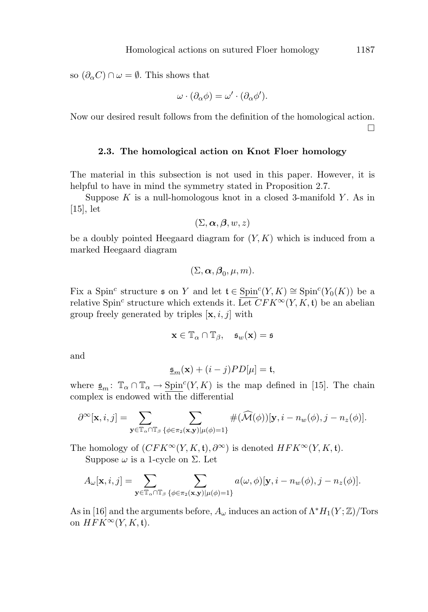so  $(\partial_{\alpha}C)\cap \omega=\emptyset$ . This shows that

$$
\omega \cdot (\partial_{\alpha} \phi) = \omega' \cdot (\partial_{\alpha} \phi').
$$

Now our desired result follows from the definition of the homological action.  $\Box$ 

# **2.3. The homological action on Knot Floer homology**

The material in this subsection is not used in this paper. However, it is helpful to have in mind the symmetry stated in Proposition 2.7.

Suppose  $K$  is a null-homologous knot in a closed 3-manifold  $Y$ . As in  $|15|,$  let

$$
(\Sigma,\boldsymbol{\alpha},\boldsymbol{\beta},w,z)
$$

be a doubly pointed Heegaard diagram for  $(Y, K)$  which is induced from a marked Heegaard diagram

$$
(\Sigma,\boldsymbol{\alpha},\boldsymbol{\beta}_0,\mu,m).
$$

Fix a Spin<sup>c</sup> structure  $\mathfrak s$  on Y and let  $\mathfrak t \in \text{Spin}^c(Y, K) \cong \text{Spin}^c(Y_0(K))$  be a relative Spin<sup>c</sup> structure which extends it. Let  $CFK^{\infty}(Y, K, \mathfrak{t})$  be an abelian group freely generated by triples  $[\mathbf{x}, i, j]$  with

$$
\mathbf{x} \in \mathbb{T}_{\alpha} \cap \mathbb{T}_{\beta}, \quad \mathfrak{s}_{w}(\mathbf{x}) = \mathfrak{s}
$$

and

$$
\underline{\mathfrak{s}}_m(\mathbf{x}) + (i - j)PD[\mu] = \mathfrak{t},
$$

where  $\underline{\mathfrak{s}}_m$ :  $\mathbb{T}_{\alpha} \cap \mathbb{T}_{\alpha} \to \underline{\text{Spin}}^c(Y, K)$  is the map defined in [15]. The chain complex is endowed with the differential

$$
\partial^{\infty}[\mathbf{x}, i, j] = \sum_{\mathbf{y} \in \mathbb{T}_\alpha \cap \mathbb{T}_\beta} \sum_{\{\phi \in \pi_2(\mathbf{x}, \mathbf{y}) | \mu(\phi) = 1\}} \#(\widehat{\mathcal{M}}(\phi))[\mathbf{y}, i - n_w(\phi), j - n_z(\phi)].
$$

The homology of  $(CFK^{\infty}(Y, K, \mathfrak{t}), \partial^{\infty})$  is denoted  $HFK^{\infty}(Y, K, \mathfrak{t})$ .

Suppose  $\omega$  is a 1-cycle on  $\Sigma$ . Let

$$
A_{\omega}[\mathbf{x}, i, j] = \sum_{\mathbf{y} \in \mathbb{T}_{\alpha} \cap \mathbb{T}_{\beta}} \sum_{\{\phi \in \pi_2(\mathbf{x}, \mathbf{y}) | \mu(\phi) = 1\}} a(\omega, \phi) [\mathbf{y}, i - n_{\omega}(\phi), j - n_{z}(\phi)].
$$

As in [16] and the arguments before,  $A_{\omega}$  induces an action of  $\Lambda^* H_1(Y; \mathbb{Z})$ /Tors on  $HFK^{\infty}(Y, K, \mathfrak{t}).$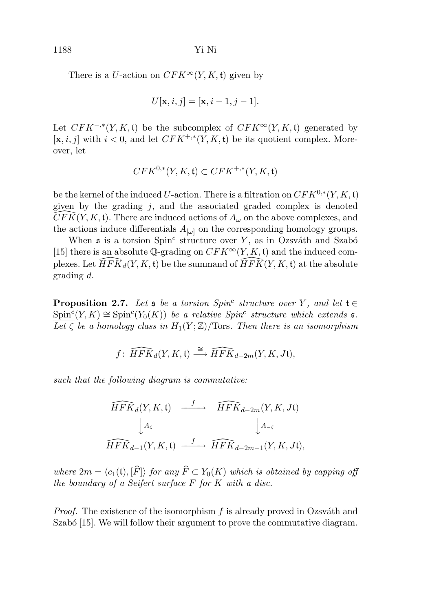1188 Yi Ni

There is a U-action on  $CFK^{\infty}(Y, K, \mathfrak{t})$  given by

$$
U[\mathbf{x}, i, j] = [\mathbf{x}, i - 1, j - 1].
$$

Let  $CFK^{-, *}(Y, K, t)$  be the subcomplex of  $CFK^{\infty}(Y, K, t)$  generated by  $[\mathbf{x}, i, j]$  with  $i < 0$ , and let  $CFK^{+, *}(Y, K, \mathbf{t})$  be its quotient complex. Moreover, let

$$
CFK^{0,*}(Y, K, \mathfrak{t}) \subset CFK^{+,*}(Y, K, \mathfrak{t})
$$

be the kernel of the induced U-action. There is a filtration on  $CFK^{0,*}(Y, K, \mathfrak{t})$ given by the grading j, and the associated graded complex is denoted<br> $\widehat{CFK}(V, K)$  There are induced actions of 4, on the above complexes, and  $\widehat{CFK}(Y, K, \mathfrak{t})$ . There are induced actions of  $A_{\omega}$  on the above complexes, and the actions induce differentials  $A_{\lbrack \omega \rbrack}$  on the corresponding homology groups.

When  $\mathfrak s$  is a torsion  $Spin^c$  structure over Y, as in Ozsváth and Szabó [15] there is an absolute  $\mathbb{Q}$ -grading on  $CFK^{\infty}(Y, K, \mathfrak{t})$  and the induced complexes. Let  $\widehat{HFK}_d(Y, K, \mathfrak{t})$  be the summand of  $\widehat{HFK}(Y, K, \mathfrak{t})$  at the absolute grading d.

**Proposition 2.7.** Let  $\mathfrak s$  be a torsion Spin<sup>c</sup> structure over Y, and let  $\mathfrak t \in$  $\text{Spin}^c(Y,K) \cong \text{Spin}^c(Y_0(K))$  be a relative  $\text{Spin}^c$  structure which extends  $\mathfrak{s}$ . Let  $\overline{\mathcal{L}}$  be a homology class in  $H_1(Y;\mathbb{Z})/\text{Tors}$ . Then there is an isomorphism

$$
f\colon \widehat{HFK}_d(Y,K,\mathfrak{t}) \stackrel{\cong}{\longrightarrow} \widehat{HFK}_{d-2m}(Y,K,J\mathfrak{t}),
$$

such that the following diagram is commutative:

$$
\begin{array}{ccc}\n\widehat{HFK}_d(Y,K,\mathfrak{t}) & \xrightarrow{f} & \widehat{HFK}_{d-2m}(Y,K,J\mathfrak{t})\\
& \downarrow A_{\varsigma} & & \downarrow A_{-\varsigma} \\
\widehat{HFK}_{d-1}(Y,K,\mathfrak{t}) & \xrightarrow{f} & \widehat{HFK}_{d-2m-1}(Y,K,J\mathfrak{t}),\n\end{array}
$$

where  $2m = \langle c_1(\mathfrak{t}), [\hat{F}] \rangle$  for any  $\widehat{F} \subset Y_0(K)$  which is obtained by capping off the boundary of a Seifert surface  $F$  for  $K$  with a disc.

*Proof.* The existence of the isomorphism  $f$  is already proved in Ozsváth and Szabó  $[15]$ . We will follow their argument to prove the commutative diagram.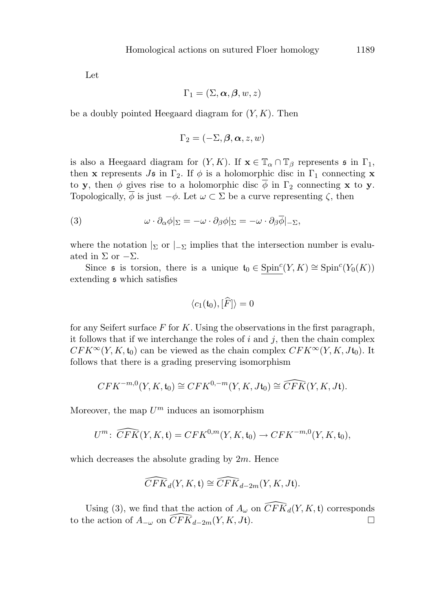Let

$$
\Gamma_1 = (\Sigma, \boldsymbol{\alpha}, \boldsymbol{\beta}, w, z)
$$

be a doubly pointed Heegaard diagram for  $(Y, K)$ . Then

$$
\Gamma_2 = (-\Sigma, \boldsymbol{\beta}, \boldsymbol{\alpha}, z, w)
$$

is also a Heegaard diagram for  $(Y, K)$ . If  $\mathbf{x} \in \mathbb{T}_\alpha \cap \mathbb{T}_\beta$  represents  $\mathfrak{s}$  in  $\Gamma_1$ , then **x** represents  $J\mathfrak{s}$  in  $\Gamma_2$ . If  $\phi$  is a holomorphic disc in  $\Gamma_1$  connecting **x** to **y**, then  $\phi$  gives rise to a holomorphic disc  $\overline{\phi}$  in  $\Gamma_2$  connecting **x** to **y**. Topologically,  $\overline{\phi}$  is just  $-\phi$ . Let  $\omega \subset \Sigma$  be a curve representing  $\zeta$ , then

(3) 
$$
\omega \cdot \partial_{\alpha} \phi |_{\Sigma} = -\omega \cdot \partial_{\beta} \phi |_{\Sigma} = -\omega \cdot \partial_{\beta} \overline{\phi} |_{-\Sigma},
$$

where the notation  $\vert_{\Sigma}$  or  $\vert_{-\Sigma}$  implies that the intersection number is evaluated in  $\Sigma$  or  $-\Sigma$ .

Since  $\mathfrak s$  is torsion, there is a unique  $\mathfrak t_0 \in \text{Spin}^c(Y, K) \cong \text{Spin}^c(Y_0(K))$ extending s which satisfies

$$
\langle c_1(\mathfrak{t}_0), [\widehat{F}] \rangle = 0
$$

for any Seifert surface  $F$  for  $K$ . Using the observations in the first paragraph, it follows that if we interchange the roles of  $i$  and  $j$ , then the chain complex  $CFK^{\infty}(Y, K, t_0)$  can be viewed as the chain complex  $CFK^{\infty}(Y, K, Jt_0)$ . It follows that there is a grading preserving isomorphism

$$
CFK^{-m,0}(Y, K, \mathfrak{t}_0) \cong CFK^{0,-m}(Y, K, J\mathfrak{t}_0) \cong \widehat{CFK}(Y, K, J\mathfrak{t}).
$$

Moreover, the map  $U^m$  induces an isomorphism

$$
U^m\colon \widehat{CFK}(Y,K,\mathfrak{t})=CFK^{0,m}(Y,K,\mathfrak{t}_0)\to CFK^{-m,0}(Y,K,\mathfrak{t}_0),
$$

which decreases the absolute grading by  $2m$ . Hence

$$
\widehat{CFK}_d(Y, K, \mathfrak{t}) \cong \widehat{CFK}_{d-2m}(Y, K, J\mathfrak{t}).
$$

Using (3), we find that the action of  $A_{\omega}$  on  $\widehat{CFK}_d(Y, K, \mathfrak{t})$  corresponds to the action of  $A_{-\omega}$  on  $\widehat{CFK}_{d-2m}(Y, K, Jt)$ .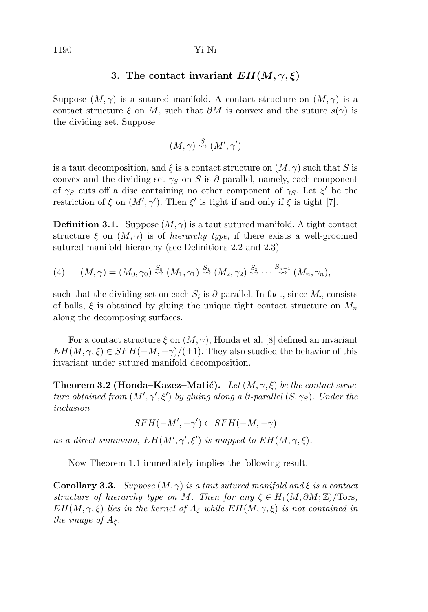#### 1190 Yi Ni

# **3.** The contact invariant  $EH(M,\gamma,\xi)$

Suppose  $(M, \gamma)$  is a sutured manifold. A contact structure on  $(M, \gamma)$  is a contact structure  $\xi$  on M, such that  $\partial M$  is convex and the suture  $s(\gamma)$  is the dividing set. Suppose

$$
(M,\gamma) \stackrel{S}{\leadsto} (M',\gamma')
$$

is a taut decomposition, and  $\xi$  is a contact structure on  $(M, \gamma)$  such that S is convex and the dividing set  $\gamma_S$  on S is ∂-parallel, namely, each component of  $\gamma_S$  cuts off a disc containing no other component of  $\gamma_S$ . Let  $\xi'$  be the restriction of  $\xi$  on  $(M', \gamma')$ . Then  $\xi'$  is tight if and only if  $\xi$  is tight [7].

**Definition 3.1.** Suppose  $(M, \gamma)$  is a taut sutured manifold. A tight contact structure  $\xi$  on  $(M, \gamma)$  is of *hierarchy type*, if there exists a well-groomed sutured manifold hierarchy (see Definitions 2.2 and 2.3)

(4) 
$$
(M, \gamma) = (M_0, \gamma_0) \stackrel{S_0}{\rightsquigarrow} (M_1, \gamma_1) \stackrel{S_1}{\rightsquigarrow} (M_2, \gamma_2) \stackrel{S_2}{\rightsquigarrow} \cdots \stackrel{S_{n-1}}{\rightsquigarrow} (M_n, \gamma_n),
$$

such that the dividing set on each  $S_i$  is  $\partial$ -parallel. In fact, since  $M_n$  consists of balls,  $\xi$  is obtained by gluing the unique tight contact structure on  $M_n$ along the decomposing surfaces.

For a contact structure  $\xi$  on  $(M, \gamma)$ , Honda et al. [8] defined an invariant  $EH(M, \gamma, \xi) \in SFH(-M, -\gamma)/(\pm 1)$ . They also studied the behavior of this invariant under sutured manifold decomposition.

**Theorem 3.2 (Honda–Kazez–Matić).** Let  $(M, \gamma, \xi)$  be the contact structure obtained from  $(M', \gamma', \xi')$  by gluing along a  $\partial$ -parallel  $(S, \gamma_S)$ . Under the inclusion

$$
SFH(-M', -\gamma') \subset SFH(-M, -\gamma)
$$

as a direct summand,  $EH(M', \gamma', \xi')$  is mapped to  $EH(M, \gamma, \xi)$ .

Now Theorem 1.1 immediately implies the following result.

**Corollary 3.3.** Suppose  $(M, \gamma)$  is a taut sutured manifold and  $\xi$  is a contact structure of hierarchy type on M. Then for any  $\zeta \in H_1(M, \partial M; \mathbb{Z})/\text{Tors}$ ,  $EH(M, \gamma, \xi)$  lies in the kernel of  $A_{\zeta}$  while  $EH(M, \gamma, \xi)$  is not contained in the image of  $A_{\zeta}$ .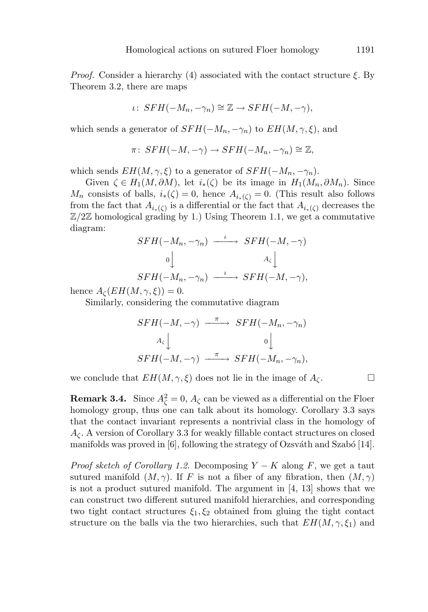*Proof.* Consider a hierarchy (4) associated with the contact structure  $\xi$ . By Theorem 3.2, there are maps

$$
\iota\colon SFH(-M_n,-\gamma_n)\cong \mathbb{Z}\to SFH(-M,-\gamma),
$$

which sends a generator of  $SFH(-M_n, -\gamma_n)$  to  $EH(M, \gamma, \xi)$ , and

$$
\pi\colon SFH(-M,-\gamma) \to SFH(-M_n,-\gamma_n) \cong \mathbb{Z},
$$

which sends  $EH(M, \gamma, \xi)$  to a generator of  $SFH(-M_n, -\gamma_n)$ .

Given  $\zeta \in H_1(M, \partial M)$ , let  $i_*(\zeta)$  be its image in  $H_1(M_n, \partial M_n)$ . Since  $M_n$  consists of balls,  $i_*(\zeta) = 0$ , hence  $A_{i_*(\zeta)} = 0$ . (This result also follows from the fact that  $A_{i_*(\zeta)}$  is a differential or the fact that  $A_{i_*(\zeta)}$  decreases the  $\mathbb{Z}/2\mathbb{Z}$  homological grading by 1.) Using Theorem 1.1, we get a commutative diagram:

$$
SFH(-M_n, -\gamma_n) \xrightarrow{\iota} SFH(-M, -\gamma)
$$
  
\n
$$
0 \downarrow \qquad A_{\varsigma} \downarrow
$$
  
\n
$$
SFH(-M_n, -\gamma_n) \xrightarrow{\iota} SFH(-M, -\gamma),
$$

hence  $A_{\mathcal{C}}(EH(M,\gamma,\xi))=0.$ 

Similarly, considering the commutative diagram

$$
SFH(-M, -\gamma) \xrightarrow{\pi} SFH(-M_n, -\gamma_n)
$$
  
\n $A_{\varsigma}$ \n $0$ \n $\downarrow$   
\n $SFH(-M, -\gamma) \xrightarrow{\pi} SFH(-M_n, -\gamma_n),$ 

we conclude that  $EH(M, \gamma, \xi)$  does not lie in the image of  $A_{\zeta}$ .

**Remark 3.4.** Since  $A_{\zeta}^2 = 0$ ,  $A_{\zeta}$  can be viewed as a differential on the Floer homology group, thus one can talk about its homology. Corollary 3.3 says that the contact invariant represents a nontrivial class in the homology of  $A_{\zeta}$ . A version of Corollary 3.3 for weakly fillable contact structures on closed manifolds was proved in  $[6]$ , following the strategy of Ozsváth and Szabó [14].

*Proof sketch of Corollary 1.2.* Decomposing  $Y - K$  along F, we get a taut sutured manifold  $(M, \gamma)$ . If F is not a fiber of any fibration, then  $(M, \gamma)$ is not a product sutured manifold. The argument in [4, 13] shows that we can construct two different sutured manifold hierarchies, and corresponding two tight contact structures  $\xi_1, \xi_2$  obtained from gluing the tight contact structure on the balls via the two hierarchies, such that  $EH(M, \gamma, \xi_1)$  and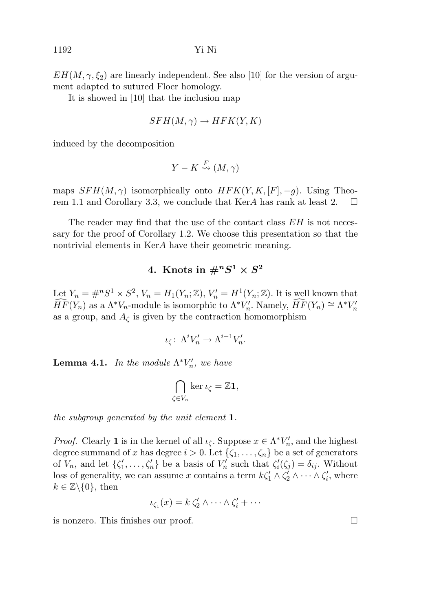$EH(M, \gamma, \xi_2)$  are linearly independent. See also [10] for the version of argument adapted to sutured Floer homology.

It is showed in [10] that the inclusion map

$$
SFH(M,\gamma) \to HFK(Y,K)
$$

induced by the decomposition

$$
Y-K \stackrel{F}{\leadsto} (M,\gamma)
$$

maps  $SFH(M, \gamma)$  isomorphically onto  $HFK(Y, K, [F], -g)$ . Using Theorem 1.1 and Corollary 3.3, we conclude that KerA has rank at least 2.  $\Box$ 

The reader may find that the use of the contact class  $EH$  is not necessary for the proof of Corollary 1.2. We choose this presentation so that the nontrivial elements in KerA have their geometric meaning.

# 4. Knots in  $\#^nS^1 \times S^2$

Let  $Y_n = \#^n S^1 \times S^2$ ,  $V_n = H_1(Y_n; \mathbb{Z})$ ,  $V'_n = H^1(Y_n; \mathbb{Z})$ . It is well known that  $\widehat{HF}(Y_n)$  as a  $\Lambda^* V_n$ -module is isomorphic to  $\Lambda^* V'_n$ . Namely,  $\widehat{HF}(Y_n) \cong \Lambda^* V'_n$ as a group, and  $A_{\zeta}$  is given by the contraction homomorphism

$$
\iota_{\zeta} \colon \Lambda^i V'_n \to \Lambda^{i-1} V'_n.
$$

**Lemma 4.1.** In the module  $\Lambda^* V_n'$ , we have

$$
\bigcap_{\zeta \in V_n} \ker \iota_{\zeta} = \mathbb{Z} \mathbf{1},
$$

the subgroup generated by the unit element **1**.

*Proof.* Clearly **1** is in the kernel of all  $\iota_{\zeta}$ . Suppose  $x \in \Lambda^* V_n'$ , and the highest degree summand of x has degree  $i > 0$ . Let  $\{\zeta_1, \ldots, \zeta_n\}$  be a set of generators of  $V_n$ , and let  $\{\zeta'_1,\ldots,\zeta'_n\}$  be a basis of  $V'_n$  such that  $\zeta'_i(\zeta_j) = \delta_{ij}$ . Without loss of generality, we can assume x contains a term  $k\zeta_1' \wedge \zeta_2' \wedge \cdots \wedge \zeta_i'$ , where  $k \in \mathbb{Z} \backslash \{0\}$ , then

$$
\iota_{\zeta_1}(x) = k \, \zeta_2' \wedge \cdots \wedge \zeta_i' + \cdots
$$

is nonzero. This finishes our proof.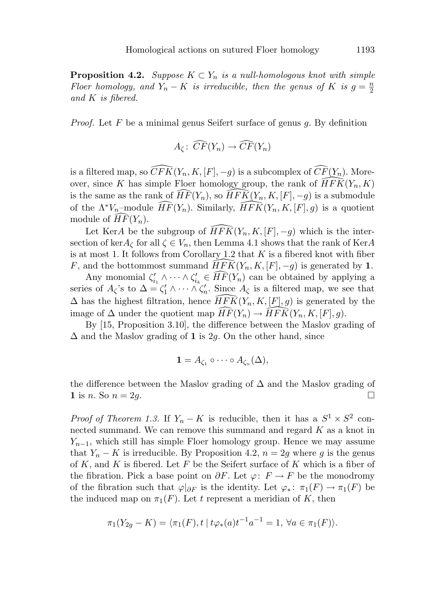**Proposition 4.2.** Suppose  $K \subset Y_n$  is a null-homologous knot with simple Floer homology, and  $Y_n - K$  is irreducible, then the genus of K is  $g = \frac{n}{2}$ and K is fibered.

*Proof.* Let  $F$  be a minimal genus Seifert surface of genus  $q$ . By definition

$$
A_{\zeta} \colon \widehat{CF}(Y_n) \to \widehat{CF}(Y_n)
$$

is a filtered map, so  $\widehat{CFK}(Y_n,K,[F],-g)$  is a subcomplex of  $\widehat{CF}(Y_n)$ . Moreover, since K has simple Floer homology group, the rank of  $\widehat{HFK}(Y_n, K)$ is the same as the rank of  $\widehat{HF}(Y_n)$ , so  $\widehat{HFK}(Y_n, K, [F], -g)$  is a submodule of the  $\Lambda^* V_n$ -module  $\widehat{HF}(Y_n)$ . Similarly,  $\widehat{HFK}(Y_n, K, [F], g)$  is a quotient module of  $HF(Y_n)$ .

Let KerA be the subgroup of  $\widehat{HFK}(Y_n,K,[F],-g)$  which is the intersection of ker $A_{\zeta}$  for all  $\zeta \in V_n$ , then Lemma 4.1 shows that the rank of KerA is at most 1. It follows from Corollary 1.2 that  $K$  is a fibered knot with fiber F, and the bottommost summand  $\widehat{HFK}(Y_n, K, [F], -g)$  is generated by 1.

Any monomial  $\zeta'_{i_1} \wedge \cdots \wedge \zeta'_{i_k} \in \widehat{HF}(Y_n)$  can be obtained by applying a series of  $A_{\zeta}$ 's to  $\Delta = \zeta_1' \wedge \cdots \wedge \zeta_n'$ . Since  $A_{\zeta}$  is a filtered map, we see that  $\Delta$  has the highest filtration, hence  $\widehat{HFK}(Y_n, K, [F], g)$  is generated by the image of  $\Delta$  under the quotient map  $\widehat{HF}(Y_n) \to \widehat{HFK}(Y_n, K, [F], g)$ .

By [15, Proposition 3.10], the difference between the Maslov grading of  $\Delta$  and the Maslov grading of **1** is 2g. On the other hand, since

$$
\mathbf{1} = A_{\zeta_1} \circ \cdots \circ A_{\zeta_n}(\Delta),
$$

the difference between the Maslov grading of  $\Delta$  and the Maslov grading of **1** is *n*. So  $n = 2g$ .

*Proof of Theorem 1.3.* If  $Y_n - K$  is reducible, then it has a  $S^1 \times S^2$  connected summand. We can remove this summand and regard  $K$  as a knot in  $Y_{n-1}$ , which still has simple Floer homology group. Hence we may assume that  $Y_n - K$  is irreducible. By Proposition 4.2,  $n = 2g$  where g is the genus of K, and K is fibered. Let F be the Seifert surface of K which is a fiber of the fibration. Pick a base point on  $\partial F$ . Let  $\varphi: F \to F$  be the monodromy of the fibration such that  $\varphi|_{\partial F}$  is the identity. Let  $\varphi_*\colon \pi_1(F) \to \pi_1(F)$  be the induced map on  $\pi_1(F)$ . Let t represent a meridian of K, then

$$
\pi_1(Y_{2g} - K) = \langle \pi_1(F), t \mid t\varphi_*(a)t^{-1}a^{-1} = 1, \ \forall a \in \pi_1(F) \rangle.
$$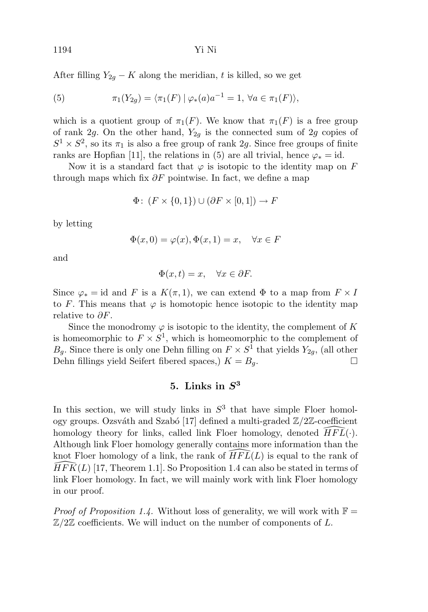After filling  $Y_{2g} - K$  along the meridian, t is killed, so we get

(5) 
$$
\pi_1(Y_{2g}) = \langle \pi_1(F) | \varphi_*(a) a^{-1} = 1, \ \forall a \in \pi_1(F) \rangle,
$$

which is a quotient group of  $\pi_1(F)$ . We know that  $\pi_1(F)$  is a free group of rank 2g. On the other hand,  $Y_{2q}$  is the connected sum of 2g copies of  $S^1 \times S^2$ , so its  $\pi_1$  is also a free group of rank 2g. Since free groups of finite ranks are Hopfian [11], the relations in (5) are all trivial, hence  $\varphi_* = id$ .

Now it is a standard fact that  $\varphi$  is isotopic to the identity map on F through maps which fix  $\partial F$  pointwise. In fact, we define a map

$$
\Phi\colon (F \times \{0,1\}) \cup (\partial F \times [0,1]) \to F
$$

by letting

$$
\Phi(x,0) = \varphi(x), \Phi(x,1) = x, \quad \forall x \in F
$$

and

$$
\Phi(x,t) = x, \quad \forall x \in \partial F.
$$

Since  $\varphi_* = id$  and F is a  $K(\pi, 1)$ , we can extend  $\Phi$  to a map from  $F \times I$ to F. This means that  $\varphi$  is homotopic hence isotopic to the identity map relative to  $\partial F$ .

Since the monodromy  $\varphi$  is isotopic to the identity, the complement of K is homeomorphic to  $F \times S^1$ , which is homeomorphic to the complement of  $B_g$ . Since there is only one Dehn filling on  $F \times S^1$  that yields  $Y_{2g}$ , (all other Dehn fillings yield Seifert fibered spaces,)  $K = B_q$ .

# **5. Links in** *S***<sup>3</sup>**

In this section, we will study links in  $S<sup>3</sup>$  that have simple Floer homology groups. Ozsváth and Szabó [17] defined a multi-graded  $\mathbb{Z}/2\mathbb{Z}$ -coefficient homology theory for links, called link Floer homology, denoted  $\widehat{HFL}(\cdot)$ . Although link Floer homology generally contains more information than the knot Floer homology of a link, the rank of  $\widehat{HFL}(L)$  is equal to the rank of  $\widehat{HFL}(L)$  [17]. Theorem 1.11. So Proposition 1.4 can also be stated in terms of  $\widehat{HFK}(L)$  [17, Theorem 1.1]. So Proposition 1.4 can also be stated in terms of link Floer homology. In fact, we will mainly work with link Floer homology in our proof.

*Proof of Proposition 1.4.* Without loss of generality, we will work with  $\mathbb{F} =$  $\mathbb{Z}/2\mathbb{Z}$  coefficients. We will induct on the number of components of L.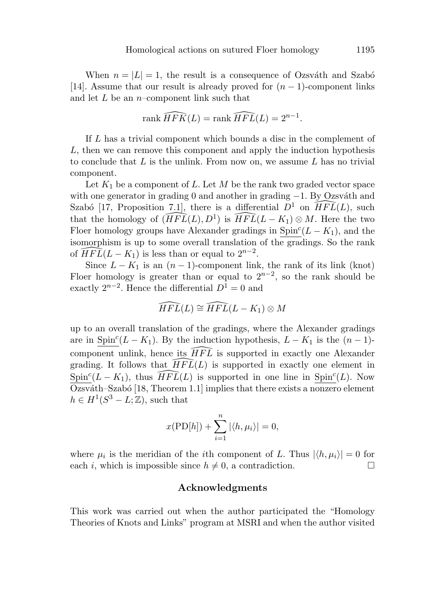When  $n = |L| = 1$ , the result is a consequence of Ozsváth and Szabó [14]. Assume that our result is already proved for  $(n-1)$ -component links and let  $L$  be an *n*–component link such that

$$
\operatorname{rank}\widehat{HFK}(L) = \operatorname{rank}\widehat{HFL}(L) = 2^{n-1}.
$$

If L has a trivial component which bounds a disc in the complement of L, then we can remove this component and apply the induction hypothesis to conclude that  $L$  is the unlink. From now on, we assume  $L$  has no trivial component.

Let  $K_1$  be a component of L. Let M be the rank two graded vector space with one generator in grading 0 and another in grading  $-1$ . By Ozsváth and Szabó [17, Proposition 7.1], there is a differential  $D^1$  on  $\widehat{HFL}(L)$ , such that the homology of  $(\widehat{HFL}(L), D^1)$  is  $\widehat{HFL}(L-K_1) \otimes M$ . Here the two Floer homology groups have Alexander gradings in  $\text{Spin}^c(L - K_1)$ , and the isomorphism is up to some overall translation of the gradings. So the rank of  $\widehat{HFL}(L-K_1)$  is less than or equal to  $2^{n-2}$ .

Since  $L - K_1$  is an  $(n - 1)$ -component link, the rank of its link (knot) Floer homology is greater than or equal to  $2^{n-2}$ , so the rank should be exactly  $2^{n-2}$ . Hence the differential  $D^1 = 0$  and

$$
\widehat{HFL}(L)\cong\widehat{HFL}(L-K_1)\otimes M
$$

up to an overall translation of the gradings, where the Alexander gradings are in Spin<sup>c</sup>( $L - K_1$ ). By the induction hypothesis,  $L - K_1$  is the  $(n - 1)$ component unlink, hence its  $\widehat{HFL}$  is supported in exactly one Alexander grading. It follows that  $\widehat{HFL}(L)$  is supported in exactly one element in  $\text{Spin}^c(L-K_1)$ , thus  $\widehat{HFL}(L)$  is supported in one line in  $\text{Spin}^c(L)$ . Now Ozsváth–Szabó [18, Theorem 1.1] implies that there exists a nonzero element  $h \in H^1(S^3 - L; \mathbb{Z})$ , such that

$$
x(\text{PD}[h]) + \sum_{i=1}^{n} |\langle h, \mu_i \rangle| = 0,
$$

where  $\mu_i$  is the meridian of the *i*th component of L. Thus  $|\langle h, \mu_i \rangle| = 0$  for each i, which is impossible since  $h \neq 0$ , a contradiction.

#### **Acknowledgments**

This work was carried out when the author participated the "Homology Theories of Knots and Links" program at MSRI and when the author visited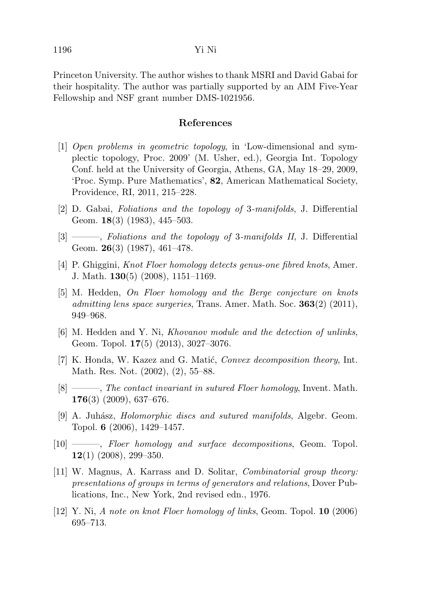Princeton University. The author wishes to thank MSRI and David Gabai for their hospitality. The author was partially supported by an AIM Five-Year Fellowship and NSF grant number DMS-1021956.

# **References**

- [1] Open problems in geometric topology, in 'Low-dimensional and symplectic topology, Proc. 2009' (M. Usher, ed.), Georgia Int. Topology Conf. held at the University of Georgia, Athens, GA, May 18–29, 2009, 'Proc. Symp. Pure Mathematics', **82**, American Mathematical Society, Providence, RI, 2011, 215–228.
- [2] D. Gabai, Foliations and the topology of 3-manifolds, J. Differential Geom. **18**(3) (1983), 445–503.
- $[3]$  ——, Foliations and the topology of 3-manifolds II, J. Differential Geom. **26**(3) (1987), 461–478.
- [4] P. Ghiggini, Knot Floer homology detects genus-one fibred knots, Amer. J. Math. **130**(5) (2008), 1151–1169.
- [5] M. Hedden, On Floer homology and the Berge conjecture on knots admitting lens space surgeries, Trans. Amer. Math. Soc. **363**(2) (2011), 949–968.
- [6] M. Hedden and Y. Ni, Khovanov module and the detection of unlinks, Geom. Topol. **17**(5) (2013), 3027–3076.
- [7] K. Honda, W. Kazez and G. Matić, *Convex decomposition theory*, Int. Math. Res. Not. (2002), (2), 55–88.
- [8] ———, The contact invariant in sutured Floer homology, Invent. Math. **176**(3) (2009), 637–676.
- $[9]$  A. Juhász, *Holomorphic discs and sutured manifolds*, Algebr. Geom. Topol. **6** (2006), 1429–1457.
- $[10]$  ——, Floer homology and surface decompositions, Geom. Topol. **12**(1) (2008), 299–350.
- [11] W. Magnus, A. Karrass and D. Solitar, Combinatorial group theory: presentations of groups in terms of generators and relations, Dover Publications, Inc., New York, 2nd revised edn., 1976.
- [12] Y. Ni, A note on knot Floer homology of links, Geom. Topol. **10** (2006) 695–713.